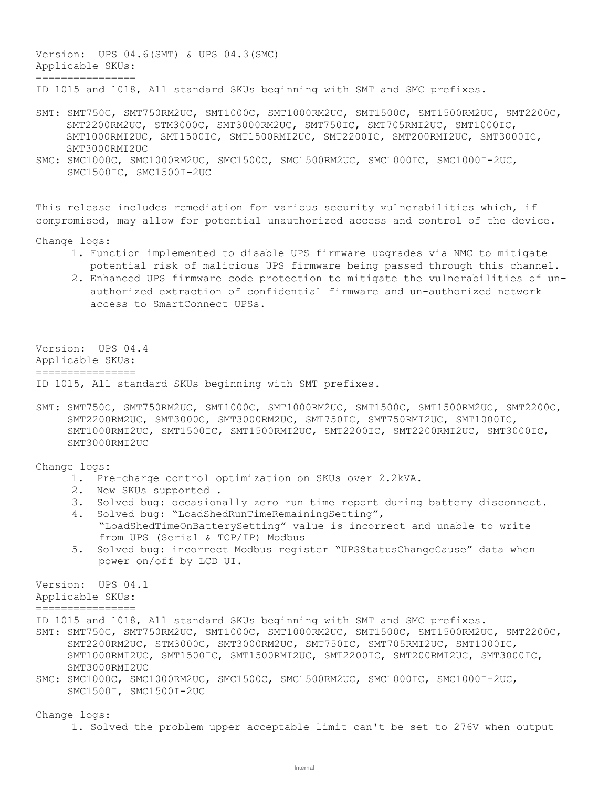Version: UPS 04.6(SMT) & UPS 04.3(SMC) Applicable SKUs: ================ ID 1015 and 1018, All standard SKUs beginning with SMT and SMC prefixes.

- SMT: SMT750C, SMT750RM2UC, SMT1000C, SMT1000RM2UC, SMT1500C, SMT1500RM2UC, SMT2200C, SMT2200RM2UC, STM3000C, SMT3000RM2UC, SMT750IC, SMT705RMI2UC, SMT1000IC, SMT1000RMI2UC, SMT1500IC, SMT1500RMI2UC, SMT2200IC, SMT200RMI2UC, SMT3000IC, SMT3000RMI2UC
- SMC: SMC1000C, SMC1000RM2UC, SMC1500C, SMC1500RM2UC, SMC1000IC, SMC1000I-2UC, SMC1500IC, SMC1500I-2UC

This release includes remediation for various security vulnerabilities which, if compromised, may allow for potential unauthorized access and control of the device.

Change logs:

- 1. Function implemented to disable UPS firmware upgrades via NMC to mitigate potential risk of malicious UPS firmware being passed through this channel.
- 2. Enhanced UPS firmware code protection to mitigate the vulnerabilities of unauthorized extraction of confidential firmware and un-authorized network access to SmartConnect UPSs.

Version: UPS 04.4 Applicable SKUs: ================

ID 1015, All standard SKUs beginning with SMT prefixes.

SMT: SMT750C, SMT750RM2UC, SMT1000C, SMT1000RM2UC, SMT1500C, SMT1500RM2UC, SMT2200C, SMT2200RM2UC, SMT3000C, SMT3000RM2UC, SMT750IC, SMT750RMI2UC, SMT1000IC, SMT1000RMI2UC, SMT1500IC, SMT1500RMI2UC, SMT2200IC, SMT2200RMI2UC, SMT3000IC, SMT3000RMI2UC

Change logs:

- 1. Pre-charge control optimization on SKUs over 2.2kVA.
- 2. New SKUs supported .
- 3. Solved bug: occasionally zero run time report during battery disconnect.
- 4. Solved bug: "LoadShedRunTimeRemainingSetting", "LoadShedTimeOnBatterySetting" value is incorrect and unable to write from UPS (Serial & TCP/IP) Modbus
- 5. Solved bug: incorrect Modbus register "UPSStatusChangeCause" data when power on/off by LCD UI.

Version: UPS 04.1

Applicable SKUs:

================

- ID 1015 and 1018, All standard SKUs beginning with SMT and SMC prefixes.
- SMT: SMT750C, SMT750RM2UC, SMT1000C, SMT1000RM2UC, SMT1500C, SMT1500RM2UC, SMT2200C, SMT2200RM2UC, STM3000C, SMT3000RM2UC, SMT750IC, SMT705RMI2UC, SMT1000IC, SMT1000RMI2UC, SMT1500IC, SMT1500RMI2UC, SMT2200IC, SMT200RMI2UC, SMT3000IC, SMT3000RMI2UC
- SMC: SMC1000C, SMC1000RM2UC, SMC1500C, SMC1500RM2UC, SMC1000IC, SMC1000I-2UC, SMC1500I, SMC1500I-2UC

Change logs:

1. Solved the problem upper acceptable limit can't be set to 276V when output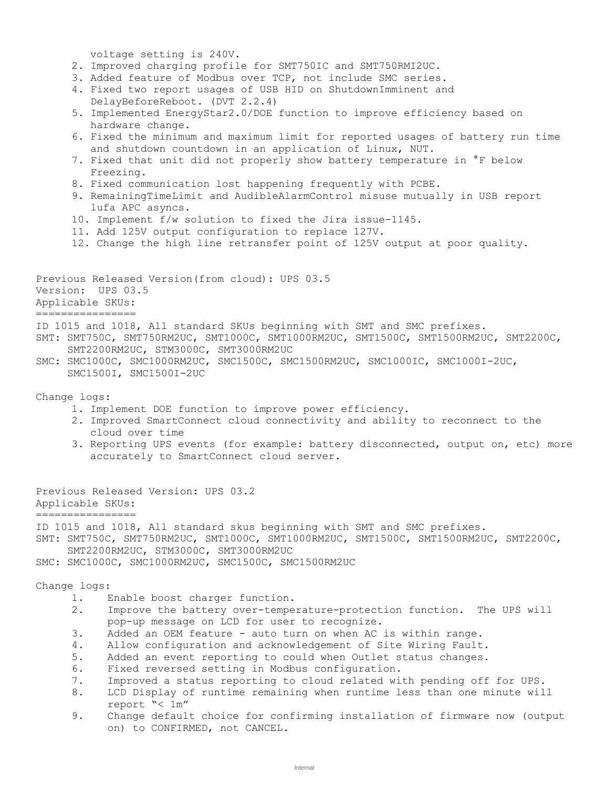voltage setting is 240V.

- 2. Improved charging profile for SMT750IC and SMT750RMI2UC.
- 3. Added feature of Modbus over TCP, not include SMC series.
- 4. Fixed two report usages of USB HID on ShutdownImminent and DelayBeforeReboot. (DVT 2.2.4)
- 5. Implemented EnergyStar2.0/DOE function to improve efficiency based on hardware change.
- 6. Fixed the minimum and maximum limit for reported usages of battery run time and shutdown countdown in an application of Linux, NUT.
- 7. Fixed that unit did not properly show battery temperature in °F below Freezing.
- 8. Fixed communication lost happening frequently with PCBE.
- 9. RemainingTimeLimit and AudibleAlarmControl misuse mutually in USB report lufa APC asyncs.
- 10. Implement f/w solution to fixed the Jira issue-1145.
- 11. Add 125V output configuration to replace 127V.
- 12. Change the high line retransfer point of 125V output at poor quality.

Previous Released Version(from cloud): UPS 03.5 Version: UPS 03.5 Applicable SKUs: ================

- ID 1015 and 1018, All standard SKUs beginning with SMT and SMC prefixes. SMT: SMT750C, SMT750RM2UC, SMT1000C, SMT1000RM2UC, SMT1500C, SMT1500RM2UC, SMT2200C, SMT2200RM2UC, STM3000C, SMT3000RM2UC
- SMC: SMC1000C, SMC1000RM2UC, SMC1500C, SMC1500RM2UC, SMC1000IC, SMC1000I-2UC, SMC1500I, SMC1500I-2UC

Change logs:

- 1. Implement DOE function to improve power efficiency.
- 2. Improved SmartConnect cloud connectivity and ability to reconnect to the cloud over time
- 3. Reporting UPS events (for example: battery disconnected, output on, etc) more accurately to SmartConnect cloud server.

Previous Released Version: UPS 03.2 Applicable SKUs:

================

ID 1015 and 1018, All standard skus beginning with SMT and SMC prefixes.

- SMT: SMT750C, SMT750RM2UC, SMT1000C, SMT1000RM2UC, SMT1500C, SMT1500RM2UC, SMT2200C, SMT2200RM2UC, STM3000C, SMT3000RM2UC
- SMC: SMC1000C, SMC1000RM2UC, SMC1500C, SMC1500RM2UC

Change logs:

- 1. Enable boost charger function.
- 2. Improve the battery over-temperature-protection function. The UPS will pop-up message on LCD for user to recognize.
- 3. Added an OEM feature auto turn on when AC is within range.
- 4. Allow configuration and acknowledgement of Site Wiring Fault.
- 5. Added an event reporting to could when Outlet status changes.
- 6. Fixed reversed setting in Modbus configuration.
- 7. Improved a status reporting to cloud related with pending off for UPS.
- 8. LCD Display of runtime remaining when runtime less than one minute will report "< 1m"
- 9. Change default choice for confirming installation of firmware now (output on) to CONFIRMED, not CANCEL.